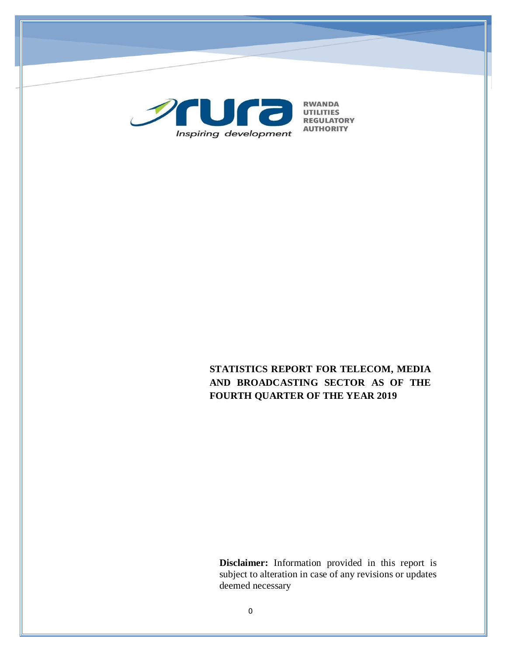

# **STATISTICS REPORT FOR TELECOM, MEDIA AND BROADCASTING SECTOR AS OF THE FOURTH QUARTER OF THE YEAR 2019**

**Disclaimer:** Information provided in this report is subject to alteration in case of any revisions or updates deemed necessary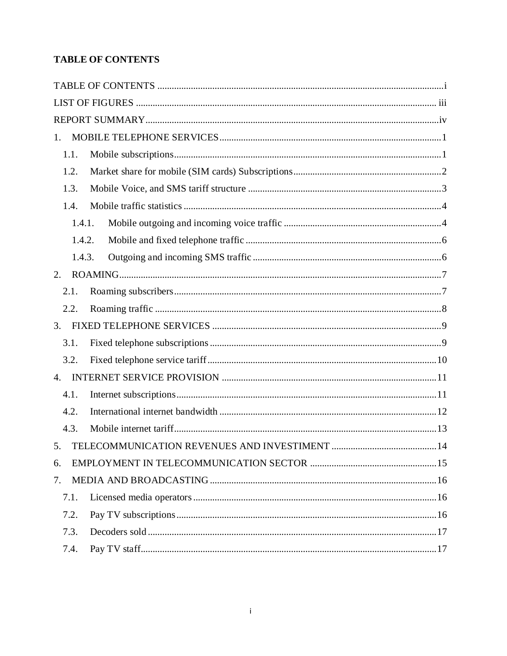# <span id="page-1-0"></span>**TABLE OF CONTENTS**

| $1_{-}$ |  |
|---------|--|
| 1.1.    |  |
| 1.2.    |  |
| 1.3.    |  |
| 1.4.    |  |
| 1.4.1.  |  |
| 1.4.2.  |  |
| 1.4.3.  |  |
| 2.      |  |
| 2.1.    |  |
| 2.2.    |  |
| 3.      |  |
| 3.1.    |  |
| 3.2.    |  |
| 4.      |  |
| 4.1.    |  |
| 4.2.    |  |
| 4.3.    |  |
| 5.      |  |
| 6.      |  |
| 7.      |  |
| 7.1.    |  |
| 7.2.    |  |
| 7.3.    |  |
| 7.4.    |  |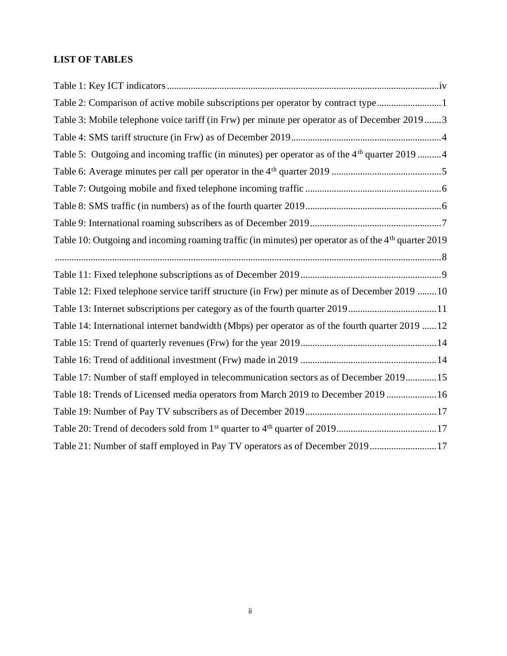# **LIST OF TABLES**

| Table 2: Comparison of active mobile subscriptions per operator by contract type1                                |
|------------------------------------------------------------------------------------------------------------------|
| Table 3: Mobile telephone voice tariff (in Frw) per minute per operator as of December 20193                     |
|                                                                                                                  |
| Table 5: Outgoing and incoming traffic (in minutes) per operator as of the 4 <sup>th</sup> quarter 2019 4        |
|                                                                                                                  |
|                                                                                                                  |
|                                                                                                                  |
|                                                                                                                  |
| Table 10: Outgoing and incoming roaming traffic (in minutes) per operator as of the 4 <sup>th</sup> quarter 2019 |
|                                                                                                                  |
|                                                                                                                  |
| Table 12: Fixed telephone service tariff structure (in Frw) per minute as of December 2019 10                    |
| Table 13: Internet subscriptions per category as of the fourth quarter 201911                                    |
| Table 14: International internet bandwidth (Mbps) per operator as of the fourth quarter 2019 12                  |
|                                                                                                                  |
|                                                                                                                  |
| Table 17: Number of staff employed in telecommunication sectors as of December 201915                            |
| Table 18: Trends of Licensed media operators from March 2019 to December 2019 16                                 |
|                                                                                                                  |
|                                                                                                                  |
| Table 21: Number of staff employed in Pay TV operators as of December 201917                                     |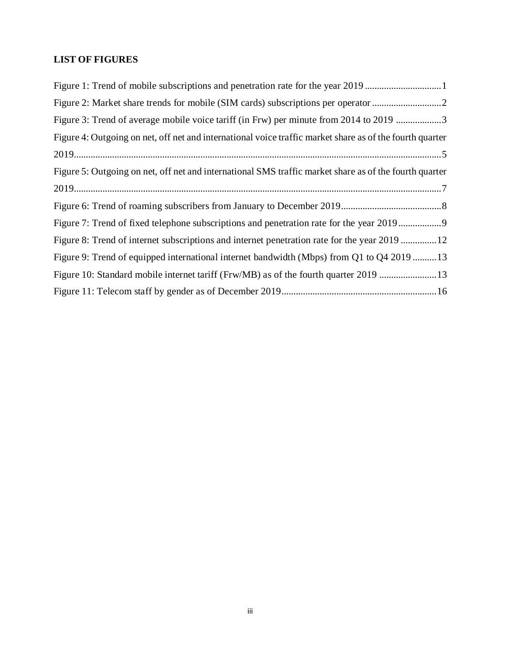# <span id="page-3-0"></span>**LIST OF FIGURES**

| Figure 3: Trend of average mobile voice tariff (in Frw) per minute from 2014 to 2019 3                   |
|----------------------------------------------------------------------------------------------------------|
| Figure 4: Outgoing on net, off net and international voice traffic market share as of the fourth quarter |
|                                                                                                          |
| Figure 5: Outgoing on net, off net and international SMS traffic market share as of the fourth quarter   |
|                                                                                                          |
|                                                                                                          |
| Figure 7: Trend of fixed telephone subscriptions and penetration rate for the year 2019                  |
| Figure 8: Trend of internet subscriptions and internet penetration rate for the year 2019 12             |
| Figure 9: Trend of equipped international internet bandwidth (Mbps) from Q1 to Q4 2019 13                |
| Figure 10: Standard mobile internet tariff (Frw/MB) as of the fourth quarter 2019 13                     |
|                                                                                                          |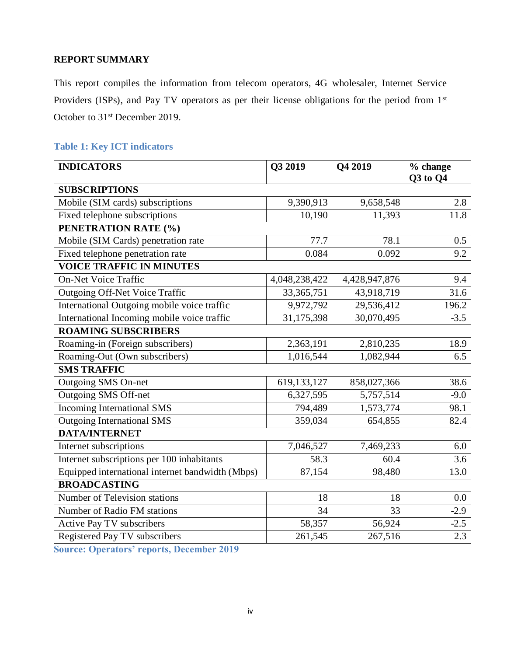### <span id="page-4-0"></span>**REPORT SUMMARY**

This report compiles the information from telecom operators, 4G wholesaler, Internet Service Providers (ISPs), and Pay TV operators as per their license obligations for the period from 1st October to 31<sup>st</sup> December 2019.

# <span id="page-4-1"></span>**Table 1: Key ICT indicators**

| <b>INDICATORS</b>                                | Q3 2019       | Q4 2019       | % change<br><b>Q3</b> to Q4 |  |  |  |
|--------------------------------------------------|---------------|---------------|-----------------------------|--|--|--|
| <b>SUBSCRIPTIONS</b>                             |               |               |                             |  |  |  |
| Mobile (SIM cards) subscriptions                 | 9,390,913     | 9,658,548     | 2.8                         |  |  |  |
| Fixed telephone subscriptions                    | 10,190        | 11,393        | 11.8                        |  |  |  |
| PENETRATION RATE (%)                             |               |               |                             |  |  |  |
| Mobile (SIM Cards) penetration rate              | 77.7          | 78.1          | 0.5                         |  |  |  |
| Fixed telephone penetration rate                 | 0.084         | 0.092         | 9.2                         |  |  |  |
| <b>VOICE TRAFFIC IN MINUTES</b>                  |               |               |                             |  |  |  |
| <b>On-Net Voice Traffic</b>                      | 4,048,238,422 | 4,428,947,876 | 9.4                         |  |  |  |
| <b>Outgoing Off-Net Voice Traffic</b>            | 33, 365, 751  | 43,918,719    | 31.6                        |  |  |  |
| International Outgoing mobile voice traffic      | 9,972,792     | 29,536,412    | 196.2                       |  |  |  |
| International Incoming mobile voice traffic      | 31,175,398    | 30,070,495    | $-3.5$                      |  |  |  |
| <b>ROAMING SUBSCRIBERS</b>                       |               |               |                             |  |  |  |
| Roaming-in (Foreign subscribers)                 | 2,363,191     | 2,810,235     | 18.9                        |  |  |  |
| Roaming-Out (Own subscribers)                    | 1,016,544     | 1,082,944     | 6.5                         |  |  |  |
| <b>SMS TRAFFIC</b>                               |               |               |                             |  |  |  |
| Outgoing SMS On-net                              | 619,133,127   | 858,027,366   | 38.6                        |  |  |  |
| Outgoing SMS Off-net                             | 6,327,595     | 5,757,514     | $-9.0$                      |  |  |  |
| <b>Incoming International SMS</b>                | 794,489       | 1,573,774     | 98.1                        |  |  |  |
| <b>Outgoing International SMS</b>                | 359,034       | 654,855       | 82.4                        |  |  |  |
| <b>DATA/INTERNET</b>                             |               |               |                             |  |  |  |
| Internet subscriptions                           | 7,046,527     | 7,469,233     | 6.0                         |  |  |  |
| Internet subscriptions per 100 inhabitants       | 58.3          | 60.4          | 3.6                         |  |  |  |
| Equipped international internet bandwidth (Mbps) | 87,154        | 98,480        | 13.0                        |  |  |  |
| <b>BROADCASTING</b>                              |               |               |                             |  |  |  |
| Number of Television stations                    | 18            | 18            | 0.0                         |  |  |  |
| Number of Radio FM stations                      | 34            | 33            | $-2.9$                      |  |  |  |
| <b>Active Pay TV subscribers</b>                 | 58,357        | 56,924        | $-2.5$                      |  |  |  |
| Registered Pay TV subscribers                    | 261,545       | 267,516       | 2.3                         |  |  |  |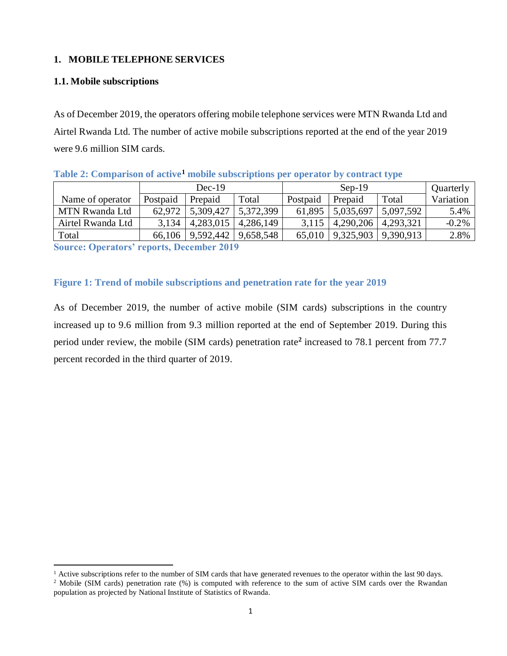### <span id="page-5-0"></span>**1. MOBILE TELEPHONE SERVICES**

#### <span id="page-5-1"></span>**1.1. Mobile subscriptions**

-

As of December 2019, the operators offering mobile telephone services were MTN Rwanda Ltd and Airtel Rwanda Ltd. The number of active mobile subscriptions reported at the end of the year 2019 were 9.6 million SIM cards.

<span id="page-5-2"></span>

| Table 2: Comparison of active <sup>1</sup> mobile subscriptions per operator by contract type |  |
|-----------------------------------------------------------------------------------------------|--|
|                                                                                               |  |

|                   | $Dec-19$ |           |           | $Sep-19$ |           |           | Quarterly |
|-------------------|----------|-----------|-----------|----------|-----------|-----------|-----------|
| Name of operator  | Postpaid | Prepaid   | Total     | Postpaid | Prepaid   | Total     | Variation |
| MTN Rwanda Ltd    | 62.972   | 5,309,427 | 5,372,399 | 61.895   | 5,035,697 | 5,097,592 | 5.4%      |
| Airtel Rwanda Ltd | 3,134    | 4,283,015 | 4,286,149 | 3.115    | 4,290,206 | 4,293,321 | $-0.2%$   |
| Total             | 66.106   | 9,592,442 | 9,658,548 | 65,010   | 9,325,903 | 9,390,913 | 2.8%      |

**Source: Operators' reports, December 2019**

### <span id="page-5-3"></span>**Figure 1: Trend of mobile subscriptions and penetration rate for the year 2019**

As of December 2019, the number of active mobile (SIM cards) subscriptions in the country increased up to 9.6 million from 9.3 million reported at the end of September 2019. During this period under review, the mobile (SIM cards) penetration rate**<sup>2</sup>** increased to 78.1 percent from 77.7 percent recorded in the third quarter of 2019.

<sup>&</sup>lt;sup>1</sup> Active subscriptions refer to the number of SIM cards that have generated revenues to the operator within the last 90 days.

<sup>&</sup>lt;sup>2</sup> Mobile (SIM cards) penetration rate (%) is computed with reference to the sum of active SIM cards over the Rwandan population as projected by National Institute of Statistics of Rwanda.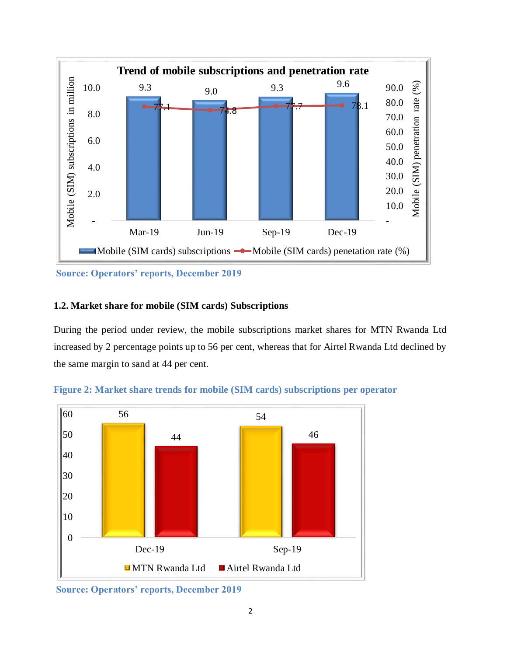

**Source: Operators' reports, December 2019**

### <span id="page-6-0"></span>**1.2. Market share for mobile (SIM cards) Subscriptions**

During the period under review, the mobile subscriptions market shares for MTN Rwanda Ltd increased by 2 percentage points up to 56 per cent, whereas that for Airtel Rwanda Ltd declined by the same margin to sand at 44 per cent.



<span id="page-6-1"></span>**Figure 2: Market share trends for mobile (SIM cards) subscriptions per operator**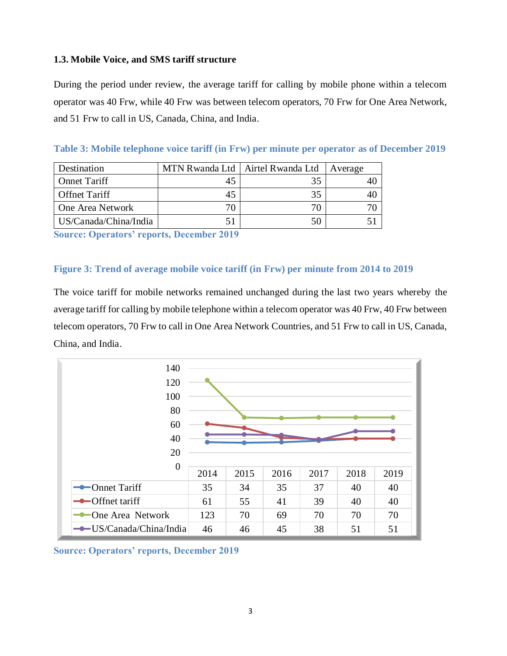# <span id="page-7-0"></span>**1.3. Mobile Voice, and SMS tariff structure**

During the period under review, the average tariff for calling by mobile phone within a telecom operator was 40 Frw, while 40 Frw was between telecom operators, 70 Frw for One Area Network, and 51 Frw to call in US, Canada, China, and India.

| Destination           |    | MTN Rwanda Ltd   Airtel Rwanda Ltd | Average |
|-----------------------|----|------------------------------------|---------|
| <b>Onnet Tariff</b>   | 45 | 35                                 |         |
| <b>Offnet Tariff</b>  | 45 | 35                                 |         |
| One Area Network      | 70 | 70                                 |         |
| US/Canada/China/India | 51 | 50                                 |         |

<span id="page-7-1"></span>**Table 3: Mobile telephone voice tariff (in Frw) per minute per operator as of December 2019** 

**Source: Operators' reports, December 2019**

#### <span id="page-7-2"></span>**Figure 3: Trend of average mobile voice tariff (in Frw) per minute from 2014 to 2019**

The voice tariff for mobile networks remained unchanged during the last two years whereby the average tariff for calling by mobile telephone within a telecom operator was 40 Frw, 40 Frw between telecom operators, 70 Frw to call in One Area Network Countries, and 51 Frw to call in US, Canada, China, and India.



**Source: Operators' reports, December 2019**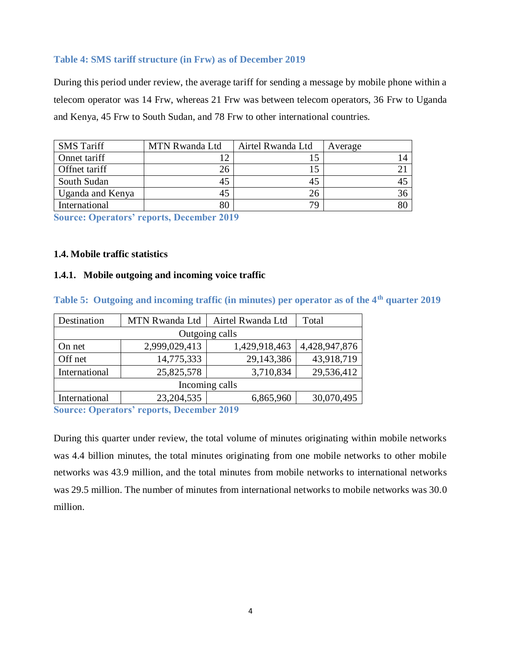#### <span id="page-8-2"></span>**Table 4: SMS tariff structure (in Frw) as of December 2019**

During this period under review, the average tariff for sending a message by mobile phone within a telecom operator was 14 Frw, whereas 21 Frw was between telecom operators, 36 Frw to Uganda and Kenya, 45 Frw to South Sudan, and 78 Frw to other international countries.

| <b>SMS Tariff</b> | MTN Rwanda Ltd | Airtel Rwanda Ltd | Average |
|-------------------|----------------|-------------------|---------|
| Onnet tariff      |                |                   | 14      |
| Offnet tariff     | 26             | 15                |         |
| South Sudan       | 45             | 45                |         |
| Uganda and Kenya  | 45             | 26                | 36      |
| International     | 80             | 79                | 80      |

**Source: Operators' reports, December 2019**

#### <span id="page-8-0"></span>**1.4. Mobile traffic statistics**

#### <span id="page-8-1"></span>**1.4.1. Mobile outgoing and incoming voice traffic**

| Destination                               | MTN Rwanda Ltd | Airtel Rwanda Ltd | Total         |  |  |  |
|-------------------------------------------|----------------|-------------------|---------------|--|--|--|
|                                           |                |                   |               |  |  |  |
| On net                                    | 2,999,029,413  | 1,429,918,463     | 4,428,947,876 |  |  |  |
| Off net                                   | 14,775,333     | 29,143,386        | 43,918,719    |  |  |  |
| International                             | 25,825,578     | 3,710,834         | 29,536,412    |  |  |  |
| Incoming calls                            |                |                   |               |  |  |  |
| International                             | 23, 204, 535   | 6,865,960         | 30,070,495    |  |  |  |
| $\sim$ $\sim$ $\sim$ $\sim$ $\sim$ $\sim$ |                |                   |               |  |  |  |

<span id="page-8-3"></span>**Table 5: Outgoing and incoming traffic (in minutes) per operator as of the 4th quarter 2019**

**Source: Operators' reports, December 2019**

During this quarter under review, the total volume of minutes originating within mobile networks was 4.4 billion minutes, the total minutes originating from one mobile networks to other mobile networks was 43.9 million, and the total minutes from mobile networks to international networks was 29.5 million. The number of minutes from international networks to mobile networks was 30.0 million.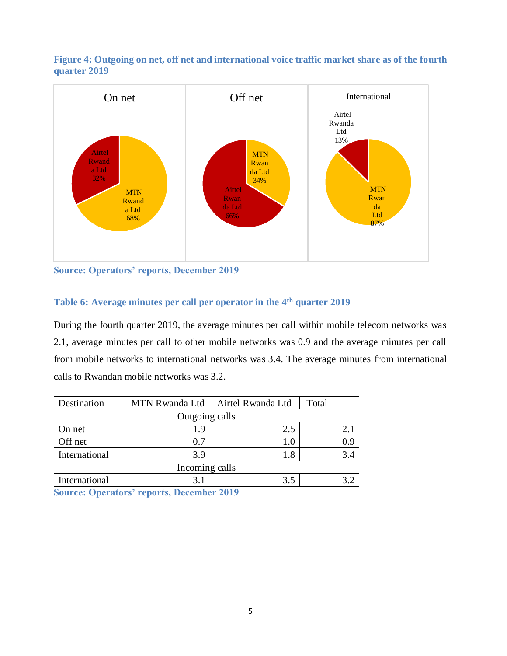<span id="page-9-1"></span>



**Source: Operators' reports, December 2019**

# <span id="page-9-0"></span>**Table 6: Average minutes per call per operator in the 4 th quarter 2019**

During the fourth quarter 2019, the average minutes per call within mobile telecom networks was 2.1, average minutes per call to other mobile networks was 0.9 and the average minutes per call from mobile networks to international networks was 3.4. The average minutes from international calls to Rwandan mobile networks was 3.2.

| Destination    |                | MTN Rwanda Ltd   Airtel Rwanda Ltd | Total |  |  |  |  |  |
|----------------|----------------|------------------------------------|-------|--|--|--|--|--|
|                | Outgoing calls |                                    |       |  |  |  |  |  |
| On net         | 1.9            | 2.5                                | 2.1   |  |  |  |  |  |
| Off net        | 0.7            | 1.0                                |       |  |  |  |  |  |
| International  | 3.9            | .8                                 |       |  |  |  |  |  |
| Incoming calls |                |                                    |       |  |  |  |  |  |
| International  |                | 35                                 |       |  |  |  |  |  |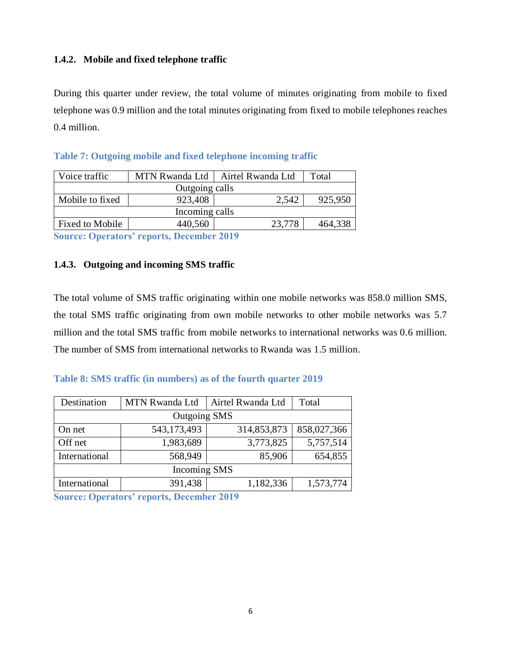### <span id="page-10-0"></span>**1.4.2. Mobile and fixed telephone traffic**

During this quarter under review, the total volume of minutes originating from mobile to fixed telephone was 0.9 million and the total minutes originating from fixed to mobile telephones reaches 0.4 million.

| Voice traffic        |                                                                                                                                                                                                                                | MTN Rwanda Ltd   Airtel Rwanda Ltd | Total   |  |  |  |  |  |
|----------------------|--------------------------------------------------------------------------------------------------------------------------------------------------------------------------------------------------------------------------------|------------------------------------|---------|--|--|--|--|--|
| Outgoing calls       |                                                                                                                                                                                                                                |                                    |         |  |  |  |  |  |
| Mobile to fixed      | 923,408                                                                                                                                                                                                                        | 2,542                              | 925,950 |  |  |  |  |  |
| Incoming calls       |                                                                                                                                                                                                                                |                                    |         |  |  |  |  |  |
| Fixed to Mobile      | 440,560                                                                                                                                                                                                                        | 23,778                             | 464,338 |  |  |  |  |  |
| $\sim$ $\sim$ $\sim$ | the state of the state of the state of the state of the state of the state of the state of the state of the state of the state of the state of the state of the state of the state of the state of the state of the state of t |                                    |         |  |  |  |  |  |

<span id="page-10-2"></span>

|  | Table 7: Outgoing mobile and fixed telephone incoming traffic |  |  |  |
|--|---------------------------------------------------------------|--|--|--|
|  |                                                               |  |  |  |

**Source: Operators' reports, December 2019**

### <span id="page-10-1"></span>**1.4.3. Outgoing and incoming SMS traffic**

The total volume of SMS traffic originating within one mobile networks was 858.0 million SMS, the total SMS traffic originating from own mobile networks to other mobile networks was 5.7 million and the total SMS traffic from mobile networks to international networks was 0.6 million. The number of SMS from international networks to Rwanda was 1.5 million.

# <span id="page-10-3"></span>**Table 8: SMS traffic (in numbers) as of the fourth quarter 2019**

| Destination         | <b>MTN Rwanda Ltd</b> | Airtel Rwanda Ltd | Total       |  |  |  |  |  |  |  |
|---------------------|-----------------------|-------------------|-------------|--|--|--|--|--|--|--|
| <b>Outgoing SMS</b> |                       |                   |             |  |  |  |  |  |  |  |
| On net              | 543,173,493           | 314,853,873       | 858,027,366 |  |  |  |  |  |  |  |
| Off net             | 1,983,689             | 3,773,825         | 5,757,514   |  |  |  |  |  |  |  |
| International       | 568,949               | 85,906            | 654,855     |  |  |  |  |  |  |  |
| Incoming SMS        |                       |                   |             |  |  |  |  |  |  |  |
| International       | 391,438               | 1,182,336         | 1,573,774   |  |  |  |  |  |  |  |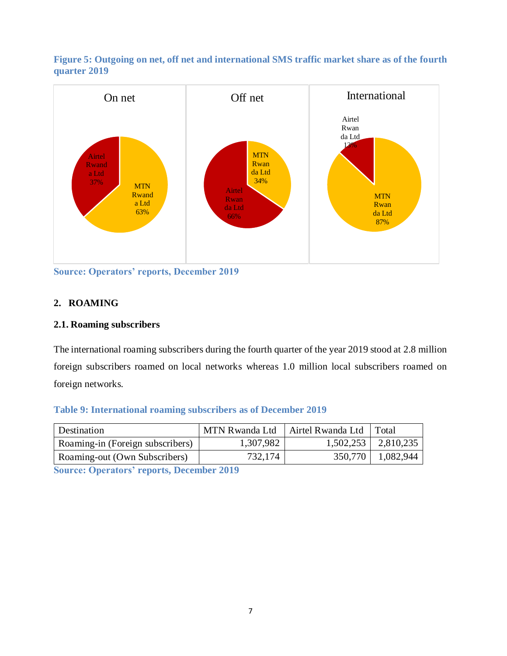<span id="page-11-3"></span>



**Source: Operators' reports, December 2019**

# <span id="page-11-0"></span>**2. ROAMING**

# <span id="page-11-1"></span>**2.1. Roaming subscribers**

The international roaming subscribers during the fourth quarter of the year 2019 stood at 2.8 million foreign subscribers roamed on local networks whereas 1.0 million local subscribers roamed on foreign networks.

# <span id="page-11-2"></span>**Table 9: International roaming subscribers as of December 2019**

| Destination                      | ' MTN Rwanda Ltd | Airtel Rwanda Ltd | Total                   |
|----------------------------------|------------------|-------------------|-------------------------|
| Roaming-in (Foreign subscribers) | 1,307,982        |                   | $1,502,253$   2,810,235 |
| Roaming-out (Own Subscribers)    | 732,174          | 350,770           | 1,082,944               |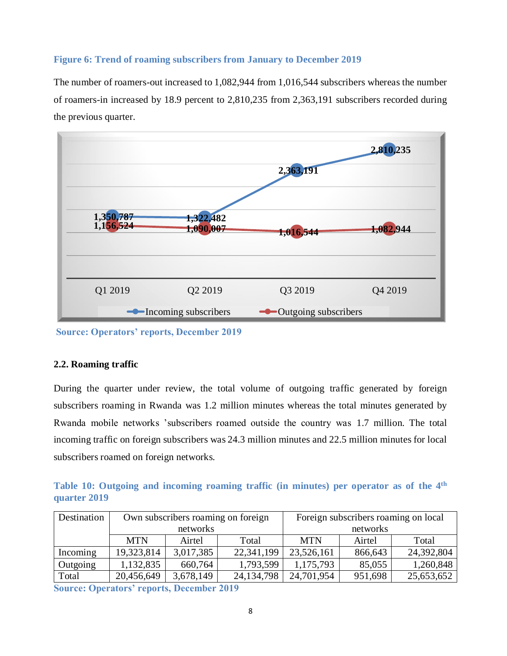#### <span id="page-12-2"></span>**Figure 6: Trend of roaming subscribers from January to December 2019**

The number of roamers-out increased to 1,082,944 from 1,016,544 subscribers whereas the number of roamers-in increased by 18.9 percent to 2,810,235 from 2,363,191 subscribers recorded during the previous quarter.



**Source: Operators' reports, December 2019**

#### <span id="page-12-0"></span>**2.2. Roaming traffic**

During the quarter under review, the total volume of outgoing traffic generated by foreign subscribers roaming in Rwanda was 1.2 million minutes whereas the total minutes generated by Rwanda mobile networks 'subscribers roamed outside the country was 1.7 million. The total incoming traffic on foreign subscribers was 24.3 million minutes and 22.5 million minutes for local subscribers roamed on foreign networks.

<span id="page-12-1"></span>**Table 10: Outgoing and incoming roaming traffic (in minutes) per operator as of the 4th quarter 2019** 

| Destination                                  |            |                                     | Own subscribers roaming on foreign | Foreign subscribers roaming on local |         |            |  |
|----------------------------------------------|------------|-------------------------------------|------------------------------------|--------------------------------------|---------|------------|--|
|                                              |            | networks                            |                                    | networks                             |         |            |  |
|                                              | <b>MTN</b> | Airtel                              | Total                              | <b>MTN</b>                           | Airtel  | Total      |  |
| Incoming                                     | 19,323,814 | 3,017,385                           | 22,341,199                         | 23,526,161                           | 866,643 | 24,392,804 |  |
| Outgoing                                     | 1,132,835  | 660,764                             | 1,793,599                          | 1,175,793                            | 85,055  | 1,260,848  |  |
| Total                                        | 20,456,649 | 3,678,149                           | 24, 134, 798                       | 24,701,954                           | 951,698 | 25,653,652 |  |
| $\sim$ $\sim$ $\sim$ $\sim$ $\sim$<br>$\sim$ |            | and the contract of the contract of | $\sim$ $\sim$ $\sim$               |                                      |         |            |  |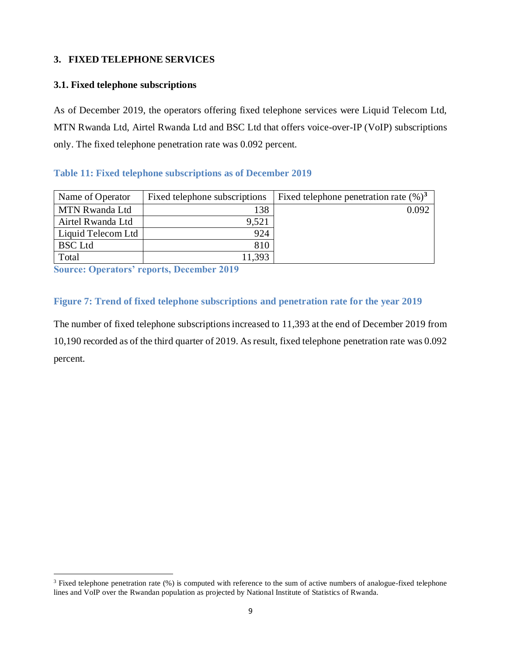# <span id="page-13-0"></span>**3. FIXED TELEPHONE SERVICES**

# <span id="page-13-1"></span>**3.1. Fixed telephone subscriptions**

As of December 2019, the operators offering fixed telephone services were Liquid Telecom Ltd, MTN Rwanda Ltd, Airtel Rwanda Ltd and BSC Ltd that offers voice-over-IP (VoIP) subscriptions only. The fixed telephone penetration rate was 0.092 percent.

# <span id="page-13-2"></span>**Table 11: Fixed telephone subscriptions as of December 2019**

| Name of Operator      | Fixed telephone subscriptions | Fixed telephone penetration rate $(\%)^3$ |
|-----------------------|-------------------------------|-------------------------------------------|
| <b>MTN Rwanda Ltd</b> | 138                           | 0.092                                     |
| Airtel Rwanda Ltd     | 9,521                         |                                           |
| Liquid Telecom Ltd    | 924                           |                                           |
| <b>BSC</b> Ltd        | 810                           |                                           |
| Total                 | 11,393                        |                                           |

**Source: Operators' reports, December 2019**

-

# <span id="page-13-3"></span>**Figure 7: Trend of fixed telephone subscriptions and penetration rate for the year 2019**

The number of fixed telephone subscriptions increased to 11,393 at the end of December 2019 from 10,190 recorded as of the third quarter of 2019. As result, fixed telephone penetration rate was 0.092 percent.

<sup>&</sup>lt;sup>3</sup> Fixed telephone penetration rate (%) is computed with reference to the sum of active numbers of analogue-fixed telephone lines and VoIP over the Rwandan population as projected by National Institute of Statistics of Rwanda.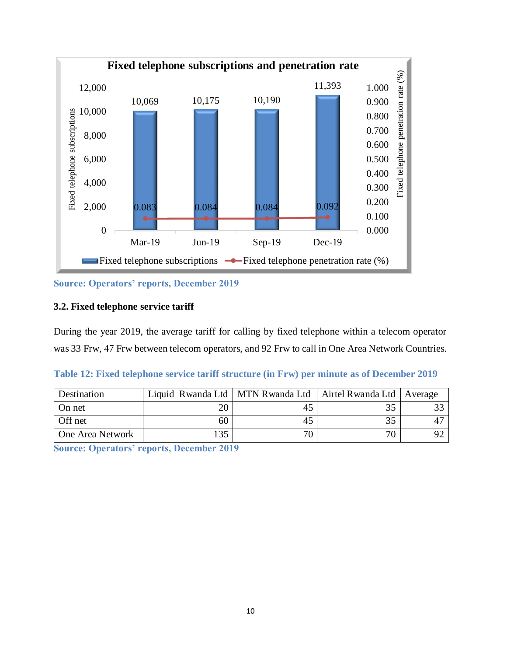

**Source: Operators' reports, December 2019**

### <span id="page-14-0"></span>**3.2. Fixed telephone service tariff**

During the year 2019, the average tariff for calling by fixed telephone within a telecom operator was 33 Frw, 47 Frw between telecom operators, and 92 Frw to call in One Area Network Countries.

<span id="page-14-1"></span>

|  | Table 12: Fixed telephone service tariff structure (in Frw) per minute as of December 2019 |  |  |  |  |  |  |
|--|--------------------------------------------------------------------------------------------|--|--|--|--|--|--|
|  |                                                                                            |  |  |  |  |  |  |

| Destination      | Liquid Rwanda Ltd   MTN Rwanda Ltd |    | Airtel Rwanda Ltd   Average |  |
|------------------|------------------------------------|----|-----------------------------|--|
| On net           |                                    |    |                             |  |
| Off net          | 60                                 |    | 35                          |  |
| One Area Network | 35                                 | 70 | 70                          |  |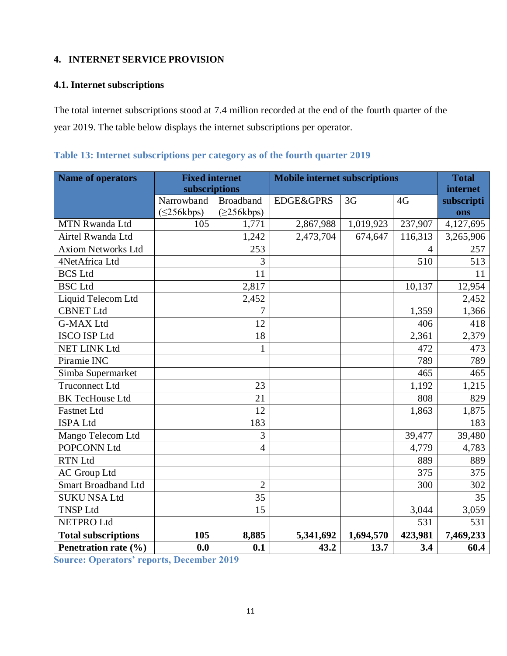# <span id="page-15-0"></span>**4. INTERNET SERVICE PROVISION**

# <span id="page-15-1"></span>**4.1. Internet subscriptions**

The total internet subscriptions stood at 7.4 million recorded at the end of the fourth quarter of the year 2019. The table below displays the internet subscriptions per operator.

| <b>Name of operators</b>   | <b>Fixed internet</b><br>subscriptions |                  | <b>Mobile internet subscriptions</b> | <b>Total</b><br>internet |                |            |
|----------------------------|----------------------------------------|------------------|--------------------------------------|--------------------------|----------------|------------|
|                            | Narrowband                             | <b>Broadband</b> | <b>EDGE&amp;GPRS</b>                 | 3G                       | 4G             | subscripti |
|                            | $(\leq 256$ kbps)                      | $(\geq 256kbps)$ |                                      |                          |                | ons        |
| <b>MTN Rwanda Ltd</b>      | 105                                    | 1,771            | 2,867,988                            | 1,019,923                | 237,907        | 4,127,695  |
| Airtel Rwanda Ltd          |                                        | 1,242            | 2,473,704                            | 674,647                  | 116,313        | 3,265,906  |
| <b>Axiom Networks Ltd</b>  |                                        | 253              |                                      |                          | $\overline{4}$ | 257        |
| 4NetAfrica Ltd             |                                        | 3                |                                      |                          | 510            | 513        |
| <b>BCS Ltd</b>             |                                        | 11               |                                      |                          |                | 11         |
| <b>BSC</b> Ltd             |                                        | 2,817            |                                      |                          | 10,137         | 12,954     |
| Liquid Telecom Ltd         |                                        | 2,452            |                                      |                          |                | 2,452      |
| <b>CBNET Ltd</b>           |                                        | 7                |                                      |                          | 1,359          | 1,366      |
| <b>G-MAX Ltd</b>           |                                        | 12               |                                      |                          | 406            | 418        |
| <b>ISCO ISP Ltd</b>        |                                        | 18               |                                      |                          | 2,361          | 2,379      |
| <b>NET LINK Ltd</b>        |                                        | $\mathbf{1}$     |                                      |                          | 472            | 473        |
| Piramie INC                |                                        |                  |                                      |                          | 789            | 789        |
| Simba Supermarket          |                                        |                  |                                      |                          | 465            | 465        |
| <b>Truconnect Ltd</b>      |                                        | 23               |                                      |                          | 1,192          | 1,215      |
| <b>BK TecHouse Ltd</b>     |                                        | 21               |                                      |                          | 808            | 829        |
| <b>Fastnet Ltd</b>         |                                        | 12               |                                      |                          | 1,863          | 1,875      |
| <b>ISPA Ltd</b>            |                                        | 183              |                                      |                          |                | 183        |
| Mango Telecom Ltd          |                                        | 3                |                                      |                          | 39,477         | 39,480     |
| POPCONN Ltd                |                                        | $\overline{4}$   |                                      |                          | 4,779          | 4,783      |
| <b>RTN Ltd</b>             |                                        |                  |                                      |                          | 889            | 889        |
| <b>AC</b> Group Ltd        |                                        |                  |                                      |                          | 375            | 375        |
| <b>Smart Broadband Ltd</b> |                                        | $\overline{2}$   |                                      |                          | 300            | 302        |
| <b>SUKU NSA Ltd</b>        |                                        | 35               |                                      |                          |                | 35         |
| <b>TNSP Ltd</b>            |                                        | 15               |                                      |                          | 3,044          | 3,059      |
| <b>NETPRO Ltd</b>          |                                        |                  |                                      |                          | 531            | 531        |
| <b>Total subscriptions</b> | 105                                    | 8,885            | 5,341,692                            | 1,694,570                | 423,981        | 7,469,233  |
| Penetration rate (%)       | 0.0                                    | 0.1              | 43.2                                 | 13.7                     | 3.4            | 60.4       |

### <span id="page-15-2"></span>**Table 13: Internet subscriptions per category as of the fourth quarter 2019**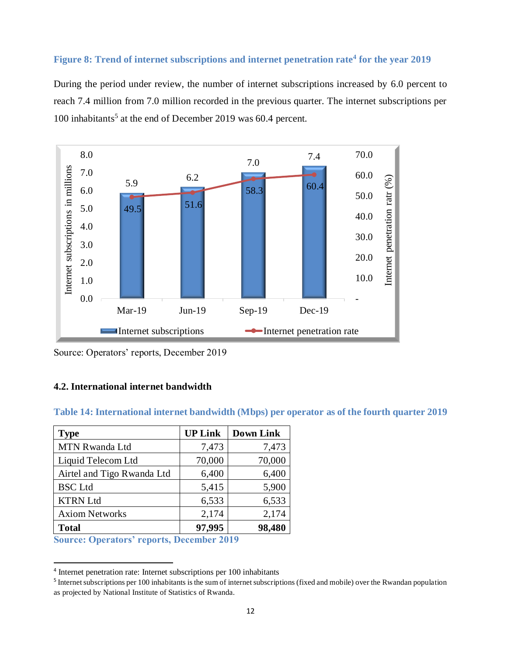#### <span id="page-16-2"></span>**Figure 8: Trend of internet subscriptions and internet penetration rate<sup>4</sup> for the year 2019**

During the period under review, the number of internet subscriptions increased by 6.0 percent to reach 7.4 million from 7.0 million recorded in the previous quarter. The internet subscriptions per 100 inhabitants<sup>5</sup> at the end of December 2019 was 60.4 percent.



Source: Operators' reports, December 2019

### <span id="page-16-0"></span>**4.2. International internet bandwidth**

#### <span id="page-16-1"></span>**Table 14: International internet bandwidth (Mbps) per operator as of the fourth quarter 2019**

| <b>Type</b>                | <b>UP Link</b> | <b>Down Link</b> |
|----------------------------|----------------|------------------|
| <b>MTN Rwanda Ltd</b>      | 7,473          | 7,473            |
| Liquid Telecom Ltd         | 70,000         | 70,000           |
| Airtel and Tigo Rwanda Ltd | 6,400          | 6,400            |
| <b>BSC</b> Ltd             | 5,415          | 5,900            |
| <b>KTRN Ltd</b>            | 6,533          | 6,533            |
| <b>Axiom Networks</b>      | 2,174          | 2,174            |
| <b>Total</b>               | 97,995         | 98,480           |

**Source: Operators' reports, December 2019**

-

<sup>4</sup> Internet penetration rate: Internet subscriptions per 100 inhabitants

<sup>&</sup>lt;sup>5</sup> Internet subscriptions per 100 inhabitants is the sum of internet subscriptions (fixed and mobile) over the Rwandan population as projected by National Institute of Statistics of Rwanda.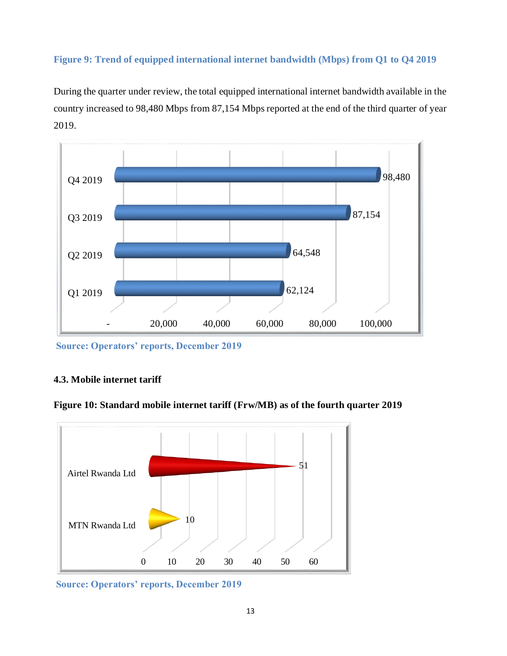# <span id="page-17-1"></span>**Figure 9: Trend of equipped international internet bandwidth (Mbps) from Q1 to Q4 2019**

During the quarter under review, the total equipped international internet bandwidth available in the country increased to 98,480 Mbps from 87,154 Mbps reported at the end of the third quarter of year 2019.



**Source: Operators' reports, December 2019**

### <span id="page-17-0"></span>**4.3. Mobile internet tariff**

<span id="page-17-2"></span>



**Source: Operators' reports, December 2019**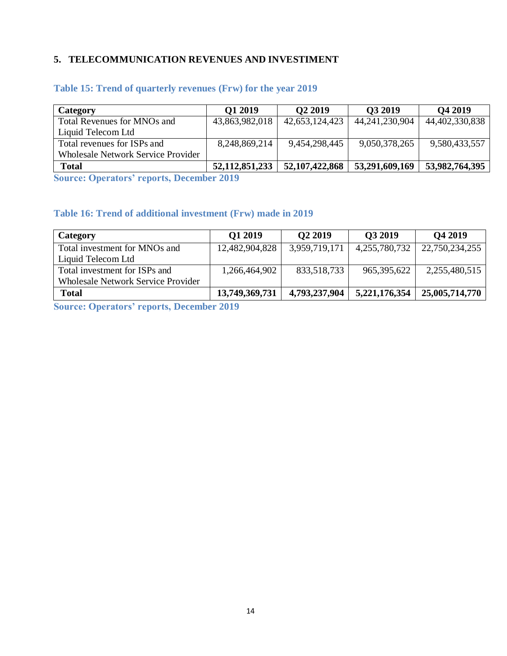# <span id="page-18-0"></span>**5. TELECOMMUNICATION REVENUES AND INVESTIMENT**

| Category                                  | O1 2019           | O <sub>2</sub> 2019 | O3 2019           | O <sub>4</sub> 2019 |
|-------------------------------------------|-------------------|---------------------|-------------------|---------------------|
| Total Revenues for MNOs and               | 43,863,982,018    | 42,653,124,423      | 44, 241, 230, 904 | 44,402,330,838      |
| Liquid Telecom Ltd                        |                   |                     |                   |                     |
| Total revenues for ISPs and               | 8,248,869,214     | 9,454,298,445       | 9,050,378,265     | 9,580,433,557       |
| <b>Wholesale Network Service Provider</b> |                   |                     |                   |                     |
| <b>Total</b>                              | 52, 112, 851, 233 | 52, 107, 422, 868   | 53,291,609,169    | 53,982,764,395      |

# <span id="page-18-1"></span>**Table 15: Trend of quarterly revenues (Frw) for the year 2019**

**Source: Operators' reports, December 2019**

# <span id="page-18-2"></span>**Table 16: Trend of additional investment (Frw) made in 2019**

| Category                                  | Q1 2019        | Q <sub>2</sub> 2019 | Q3 2019       | Q4 2019        |
|-------------------------------------------|----------------|---------------------|---------------|----------------|
| Total investment for MNOs and             | 12,482,904,828 | 3,959,719,171       | 4,255,780,732 | 22,750,234,255 |
| Liquid Telecom Ltd                        |                |                     |               |                |
| Total investment for ISPs and             | 1,266,464,902  | 833,518,733         | 965, 395, 622 | 2,255,480,515  |
| <b>Wholesale Network Service Provider</b> |                |                     |               |                |
| <b>Total</b>                              | 13,749,369,731 | 4,793,237,904       | 5,221,176,354 | 25,005,714,770 |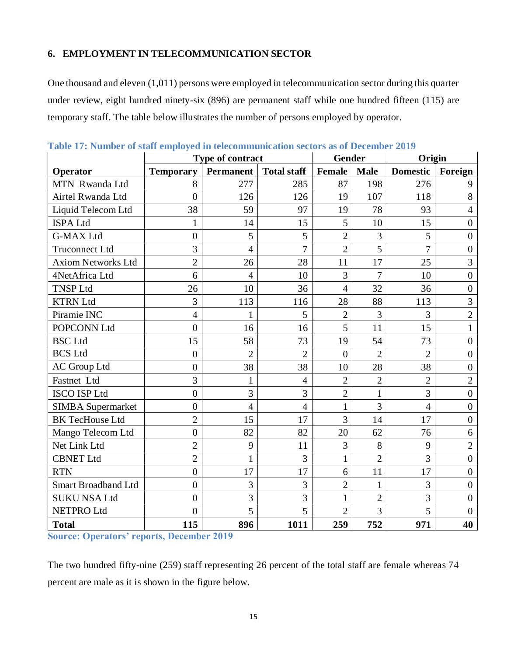# <span id="page-19-0"></span>**6. EMPLOYMENT IN TELECOMMUNICATION SECTOR**

One thousand and eleven (1,011) persons were employed in telecommunication sector during this quarter under review, eight hundred ninety-six (896) are permanent staff while one hundred fifteen (115) are temporary staff. The table below illustrates the number of persons employed by operator.

|                            | Type of contract |                  |                    | Gender         |                | Origin          |                  |
|----------------------------|------------------|------------------|--------------------|----------------|----------------|-----------------|------------------|
| Operator                   | <b>Temporary</b> | <b>Permanent</b> | <b>Total staff</b> | Female         | <b>Male</b>    | <b>Domestic</b> | Foreign          |
| MTN Rwanda Ltd             | 8                | 277              | 285                | 87             | 198            | 276             | 9                |
| Airtel Rwanda Ltd          | $\theta$         | 126              | 126                | 19             | 107            | 118             | 8                |
| Liquid Telecom Ltd         | 38               | 59               | 97                 | 19             | 78             | 93              | $\overline{4}$   |
| <b>ISPA Ltd</b>            | 1                | 14               | 15                 | 5              | 10             | 15              | $\overline{0}$   |
| <b>G-MAX Ltd</b>           | $\overline{0}$   | 5                | 5                  | $\overline{2}$ | $\overline{3}$ | 5               | $\overline{0}$   |
| <b>Truconnect Ltd</b>      | 3                | $\overline{4}$   | $\overline{7}$     | $\overline{2}$ | 5              | $\overline{7}$  | $\boldsymbol{0}$ |
| <b>Axiom Networks Ltd</b>  | $\overline{2}$   | 26               | 28                 | 11             | 17             | 25              | $\overline{3}$   |
| 4NetAfrica Ltd             | 6                | $\overline{4}$   | 10                 | 3              | 7              | 10              | $\overline{0}$   |
| <b>TNSP Ltd</b>            | 26               | 10               | 36                 | $\overline{4}$ | 32             | 36              | $\overline{0}$   |
| <b>KTRN Ltd</b>            | 3                | 113              | 116                | 28             | 88             | 113             | 3                |
| Piramie INC                | $\overline{4}$   | 1                | 5                  | $\overline{2}$ | 3              | 3               | $\overline{2}$   |
| POPCONN Ltd                | $\theta$         | 16               | 16                 | 5              | 11             | 15              | $\mathbf{1}$     |
| <b>BSC</b> Ltd             | 15               | 58               | 73                 | 19             | 54             | 73              | $\overline{0}$   |
| <b>BCS Ltd</b>             | $\overline{0}$   | $\overline{2}$   | $\overline{2}$     | $\overline{0}$ | $\overline{2}$ | $\overline{2}$  | $\overline{0}$   |
| <b>AC</b> Group Ltd        | $\overline{0}$   | 38               | 38                 | 10             | 28             | 38              | $\overline{0}$   |
| Fastnet Ltd                | $\overline{3}$   | $\mathbf{1}$     | $\overline{4}$     | $\overline{2}$ | $\overline{2}$ | $\overline{2}$  | $\overline{2}$   |
| <b>ISCO ISP Ltd</b>        | $\overline{0}$   | 3                | $\overline{3}$     | $\overline{2}$ | $\mathbf{1}$   | 3               | $\overline{0}$   |
| <b>SIMBA</b> Supermarket   | $\overline{0}$   | $\overline{4}$   | $\overline{4}$     | $\mathbf{1}$   | $\overline{3}$ | $\overline{4}$  | $\overline{0}$   |
| <b>BK TecHouse Ltd</b>     | $\overline{2}$   | 15               | 17                 | 3              | 14             | 17              | $\overline{0}$   |
| Mango Telecom Ltd          | $\overline{0}$   | 82               | 82                 | 20             | 62             | 76              | 6                |
| Net Link Ltd               | $\overline{2}$   | 9                | 11                 | 3              | 8              | 9               | $\overline{2}$   |
| <b>CBNET Ltd</b>           | $\overline{2}$   | $\mathbf{1}$     | 3                  | $\mathbf{1}$   | $\overline{2}$ | 3               | $\overline{0}$   |
| <b>RTN</b>                 | $\overline{0}$   | 17               | 17                 | 6              | 11             | 17              | $\overline{0}$   |
| <b>Smart Broadband Ltd</b> | $\overline{0}$   | 3                | $\overline{3}$     | $\overline{2}$ | $\mathbf{1}$   | 3               | $\overline{0}$   |
| <b>SUKU NSA Ltd</b>        | $\overline{0}$   | 3                | $\overline{3}$     | 1              | $\overline{2}$ | $\overline{3}$  | $\boldsymbol{0}$ |
| <b>NETPRO Ltd</b>          | $\theta$         | 5                | 5                  | $\overline{2}$ | 3              | 5               | $\overline{0}$   |
| <b>Total</b>               | 115              | 896              | 1011               | 259            | 752            | 971             | 40               |

<span id="page-19-1"></span>**Table 17: Number of staff employed in telecommunication sectors as of December 2019** 

**Source: Operators' reports, December 2019**

The two hundred fifty-nine (259) staff representing 26 percent of the total staff are female whereas 74 percent are male as it is shown in the figure below.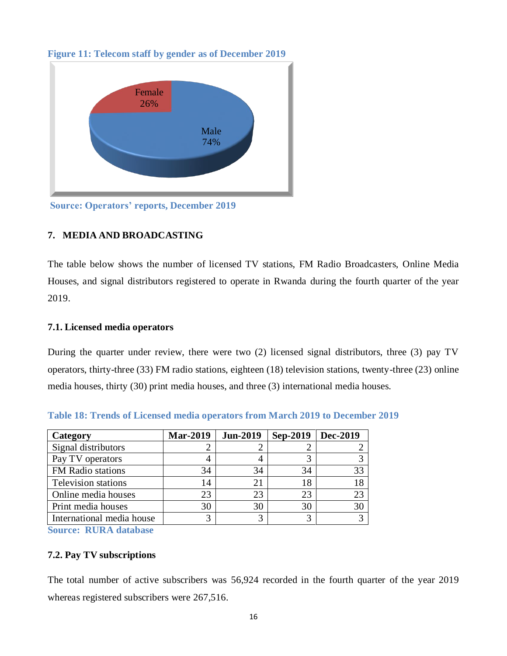![](_page_20_Figure_0.jpeg)

<span id="page-20-4"></span>**Figure 11: Telecom staff by gender as of December 2019**

**Source: Operators' reports, December 2019**

# <span id="page-20-0"></span>**7. MEDIA AND BROADCASTING**

The table below shows the number of licensed TV stations, FM Radio Broadcasters, Online Media Houses, and signal distributors registered to operate in Rwanda during the fourth quarter of the year 2019.

### <span id="page-20-1"></span>**7.1. Licensed media operators**

During the quarter under review, there were two (2) licensed signal distributors, three (3) pay TV operators, thirty-three (33) FM radio stations, eighteen (18) television stations, twenty-three (23) online media houses, thirty (30) print media houses, and three (3) international media houses.

| Category                   | <b>Mar-2019</b> | <b>Jun-2019</b> | Sep-2019 | Dec-2019 |
|----------------------------|-----------------|-----------------|----------|----------|
| Signal distributors        |                 |                 |          |          |
| Pay TV operators           |                 | 4               |          |          |
| FM Radio stations          | 34              | 34              | 34       | 33       |
| <b>Television stations</b> | 14              | 21              | 18       | 18       |
| Online media houses        | 23              | 23              | 23       | 23       |
| Print media houses         | 30              | 30              | 30       | 30       |
| International media house  |                 | 3               |          |          |

<span id="page-20-3"></span>**Table 18: Trends of Licensed media operators from March 2019 to December 2019**

**Source: RURA database**

# <span id="page-20-2"></span>**7.2. Pay TV subscriptions**

The total number of active subscribers was 56,924 recorded in the fourth quarter of the year 2019 whereas registered subscribers were 267,516.